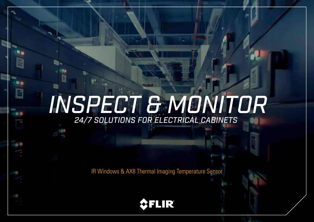# *INSPECT & MONITOR 24/7 SOLUTIONS FOR ELECTRICAL CABINETS*

IR Windows & AX8 Thermal Imaging Temperature Sensor

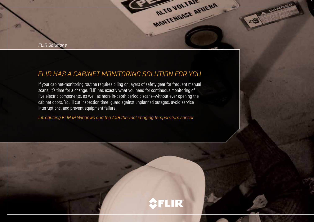*FLIR Solutions*

### *FLIR HAS A CABINET MONITORING SOLUTION FOR YOU*

If your cabinet-monitoring routine requires piling on layers of safety gear for frequent manual scans, it's time for a change. FLIR has exactly what you need for continuous monitoring of live electric components, as well as more in-depth periodic scans–without ever opening the cabinet doors. You'll cut inspection time, guard against unplanned outages, avoid service interruptions, and prevent equipment failure.

*Introducing FLIR IR Windows and the AX8 thermal imaging temperature sensor.*



MANTENGASE AFUERA

DAW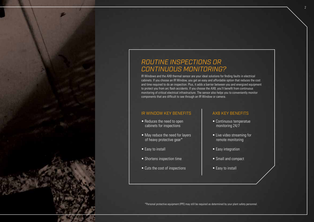### *ROUTINE INSPECTIONS OR CONTINUOUS MONITORING?*

IR Windows and the AX8 thermal sensor are your ideal solutions for finding faults in electrical cabinets. If you choose an IR Window, you get an easy and affordable option that reduces the cost and time required to do an inspection. Plus, it adds a barrier between you and energized equipment to protect you from arc flash accidents. If you choose the AX8, you'll benefit from continuous monitoring of critical electrical infrastructure. The sensor also helps you to conveniently monitor components that are difficult to see through an IR Window or camera.

#### IR WINDOW KEY BENEFITS

- Reduces the need to open cabinets for inspections
- May reduce the need for layers of heavy protective gear\*
- Easy to install
- Shortens inspection time
- Cuts the cost of inspections

#### AX8 KEY BENEFITS

2

- Continuous temperatue monitoring 24/7
- Live video streaming for remote monitoring
- Easy integration
- Small and compact
- Easy to install

\*Personal protective equipment (PPE) may still be required as determined by your plant safety personnel.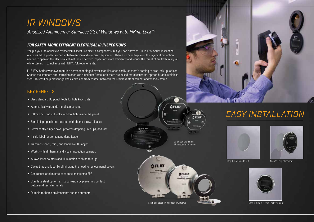# *IR WINDOWS*

*Anodized Aluminum or Stainless Steel Windows with PIRma-Lock™*

#### *FOR SAFER, MORE EFFICIENT ELECTRICAL IR INSPECTIONS*

You put your life at risk every time you inspect live electric components–but you don't have to. FLIR's IRW-Series inspection windows add a protective barrier between you and energized equipment. There's no need to pile on the layers of protection needed to open up the electrical cabinet. You'll perform inspections more efficiently and reduce the threat of arc flash injury, all while staying in compliance with NFPA 70E requirements.

FLIR IRW-Series windows feature a permanent hinged cover that flips open easily, so there's nothing to drop, mix up, or lose. Choose the standard anti-corrosion anodized aluminum frame, or if there are mixed-metal concerns, opt for durable stainless steel. This will help prevent galvanic corrosion from contact between the stainless steel cabinet and window frame.

#### KEY BENEFITS

- Uses standard US punch tools for hole knockouts
- Automatically grounds metal components
- PIRma-Lock ring nut locks window tight inside the panel
- Simple flip-open hatch secured with thumb screw releases
- Permanently-hinged cover prevents dropping, mix-ups, and loss
- Inside label for permanent identification
- Transmits short-, mid-, and longwave IR images
- Works with all thermal and visual inspection cameras
- Allows laser pointers and illumination to shine through
- Saves time and labor by eliminating the need to remove panel covers
- Can reduce or eliminate need for cumbersome PPE
- Stainless steel option resists corrosion by preventing contact between dissimilar metals
- Durable for harsh environments and the outdoors



# *EASY INSTALLATION*





Step 1: One hole to cut

Step 2: Easy placement



Step 3: Single PIRma-Lock™ ring nut

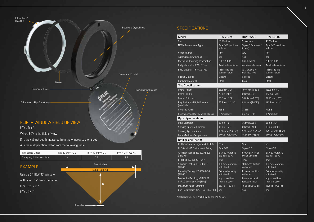

A is the multiplication factor from the following table:

| <b>IRW-Series Model</b>          | IRW-2C or IRW-2S | IRW-3C or IRW-3S      | IRW-4C or IRW-4S |  |  |
|----------------------------------|------------------|-----------------------|------------------|--|--|
| Tilting any FLIR camera lens     | 2.4              | 2.7                   | 3.2              |  |  |
| <b>EXAMPLE:</b>                  |                  | Field of View         |                  |  |  |
|                                  |                  | <b>TARGET SURFACE</b> |                  |  |  |
| Using a 3" (IRW-3C) window       |                  |                       |                  |  |  |
| with a lens 12" from the target: |                  |                       |                  |  |  |
| $FOV = 12''$ x 2.7               |                  | D                     |                  |  |  |
| $FOV = 32.4"$                    |                  |                       |                  |  |  |
|                                  |                  |                       |                  |  |  |
|                                  |                  |                       |                  |  |  |
|                                  | <b>IR Window</b> |                       |                  |  |  |

#### **SPECIFICATIONS**

| Model                                                         | <b>IRW-2C/2S</b>                             | <b>IRW-3C/3S</b>                             | <b>IRW-4C/4S</b>                             |
|---------------------------------------------------------------|----------------------------------------------|----------------------------------------------|----------------------------------------------|
| Size                                                          | 2" Window                                    | 3" Window                                    | 4" Window                                    |
| <b>NEMA Environment Type</b>                                  | Type 4/12 (outdoor/<br>indoor)               | Type 4/12 (outdoor/<br>indoor)               | Type 4/12 (outdoor/<br>indoor)               |
| Voltage Range                                                 | Any                                          | Any                                          | Any                                          |
| <b>Automatically Grounded</b>                                 | Yes                                          | Yes                                          | Yes                                          |
| Maximum Operating Temperature                                 | 260°C/500°F                                  | 260°C/500°F                                  | 260°C/500°F                                  |
| Body Material - IRW-xC Type                                   | Anodized aluminum                            | Anodized aluminum                            | Anodized aluminum                            |
| Body Material - IRW-xS Type                                   | AISI grade 316<br>stainless steel            | AISI grade 316<br>stainless steel            | AISI grade 316<br>stainless steel            |
| <b>Gasket Material</b>                                        | Silicone                                     | Silicone                                     | Silicone                                     |
| <b>Hardware Material</b>                                      | Steel                                        | Steel                                        | Steel                                        |
| <b>Size Specifications</b>                                    |                                              |                                              |                                              |
| <b>Overall Height</b>                                         | 85.5 mm (3.36")                              | 107.4 mm (4.22")                             | 136.5 mm (5.37")                             |
| Overall Width                                                 | 73 mm (2.87")                                | 99 mm (3.89")                                | 127 mm (5.01")                               |
| <b>Overall Thickness</b>                                      | 25.5 mm (1.00")                              | 26.86 mm (1.05")                             | 29.25 mm (1.15")                             |
| <b>Required Actual Hole Diameter</b><br>(Nominal)             | 60.3 mm $(2-3/8")$                           | 88.9 mm (3-1/2")                             | 114.3 mm (4-1/2")                            |
| Greenlee Punch                                                | <b>76BB</b>                                  | 739BB                                        | 742BB                                        |
| <b>Recommended Max Panel Thickness</b>                        | $3.2$ mm $(1/8")$                            | $3.2$ mm $(1/8")$                            | $3.2$ mm $(1/8")$                            |
| <b>Optic Specifications</b>                                   |                                              |                                              |                                              |
| <b>Optic Diameter</b>                                         | 50 mm (1.97")                                | 75 mm (2.95")                                | 95 mm (3.74")                                |
| Viewing Aperture Diameter                                     | 45 mm (1.77")                                | 69 mm (2.71")                                | 89 mm (3.50")                                |
| Viewing Aperture Area                                         | 1590 mm <sup>2</sup> (2.46 in <sup>2</sup> ) | 3739 mm <sup>2</sup> (5.79 in <sup>2</sup> ) | 6221 mm <sup>2</sup> (9.64 in <sup>2</sup> ) |
| Optic Maximum Temperature                                     | 1355.6°C (2474°F)                            | 1355.6°C (2474°F)                            | 1355.6°C (2474°F)                            |
| <b>Ratings and Testing</b>                                    |                                              |                                              |                                              |
| UL Component Recognition (UL 50V)                             | Yes                                          | Yes                                          | Yes                                          |
| UL 50 / NEMA Environment Rating                               | <b>Type 4/12</b>                             | <b>Type 4/12</b>                             | <b>Type 4/12</b>                             |
| Arc Flash Testing, IEC 62271-200<br>(KEMA)*                   | 5 kV, 63 kA for 30<br>cycles at 60 Hz        | 5 kV, 63 kA for 30<br>cycles at 60 Hz        | 5 kV, 63 kA for 30<br>cycles at 60 Hz        |
| IP Rating, IEC 60529 (TUV)*                                   | <b>IP67</b>                                  | <b>IP67</b>                                  | <b>IP67</b>                                  |
| Vibration Testing, IEC 60068-2-6<br>$(TUV)^*$                 | 100 $m/s2$ vibration<br>withstand            | 100 $m/s2$ vibration<br>withstand            | 100 $m/s2$ vibration<br>withstand            |
| Humidity Testing, IEC 60068-2-3<br>(TUV)*                     | Extreme humidity<br>withstand                | <b>Extreme humidity</b><br>withstand         | <b>Extreme humidity</b><br>withstand         |
| Mechanical Testing, ANSI/IEEE<br>C37.20.2 section A3.6 (TUV)* | Impact and load<br>resistant cover           | Impact and load<br>resistant cover           | Impact and load<br>resistant cover           |
| Maximum Pullout Strength                                      | 657 kg (1450 lbs)                            | 1655 kg (3650 lbs)                           | 1678 kg (3700 lbs)                           |
| CSA Certification, C22.2 No. 14 or 508                        | Yes                                          | Yes                                          | Yes                                          |

\*Test results valid for IRW-2C, IRW-3C, and IRW-4C only.

4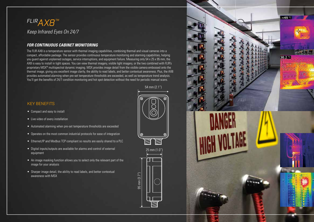## *FLIRAX8™ Keep Infrared Eyes On 24/7*

#### *FOR CONTINUOUS CABINET MONITORING*

The FLIR AX8 is a temperature sensor with thermal imaging capabilities, combining thermal and visual cameras into a compact, affordable package. The sensor provides continuous temperature monitoring and alarming capabilities, helping you guard against unplanned outages, service interruptions, and equipment failure. Measuring only 54 x 25 x 95 mm, the AX8 is easy to install in tight spaces. You can view thermal imagery, visible light imagery, or the two combined with FLIR's proprietary MSX® multispectral dynamic imaging. MSX provides image detail from the visible camera embossed onto the thermal image, giving you excellent image clarity, the ability to read labels, and better contextual awareness. Plus, the AX8 provides automated alarming when pre-set temperature thresholds are exceeded, as well as temperature trend analysis. You'll get the benefits of 24/7 condition monitoring and hot spot detection without the need for periodic manual scans.

54 mm (2.1")

25 mm (1.0")

95 mm (3.7")

 $95 \text{ mm } (3.7")$ 

#### KEY BENEFITS

- Compact and easy to install
- Live video of every installation
- Automated alarming when pre-set temperature thresholds are exceeded
- Operates on the most common industrial protocols for ease of integration
- Ethernet/IP and Modbus TCP compliant so results are easily shared to a PLC
- Digital inputs/outputs are available for alarms and control of external equipment
- An image masking function allows you to select only the relevant part of the image for your analysis
- Sharper image detail, the ability to read labels, and better contextual awareness with MSX

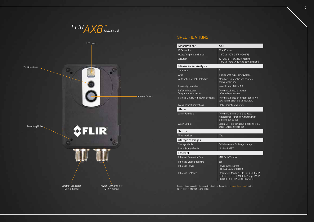



#### **SPECIFICATIONS**

| Measurement                                                | AX8                                                                                                                      |
|------------------------------------------------------------|--------------------------------------------------------------------------------------------------------------------------|
| <b>IR Resolution</b>                                       | $80 \times 60$ pixels                                                                                                    |
| <b>Object Temperature Range</b>                            | -10°C to 150°C (14°F to 302°F)                                                                                           |
| Accuracy                                                   | ±2°C (±3.6°F) or ±2% of reading<br>(10°C to 100°C @ 10°C to 35°C ambient)                                                |
| <b>Measurement Analysis</b>                                |                                                                                                                          |
| Spotmeter                                                  | 6                                                                                                                        |
| Area                                                       | 6 boxes with max./min./average                                                                                           |
| <b>Automatic Hot/Cold Detection</b>                        | Max/Min temp. value and position<br>shown within box                                                                     |
| <b>Emissivity Correction</b>                               | Variable from 0.01 to 1.0                                                                                                |
| <b>Reflected Apparent</b><br><b>Temperature Correction</b> | Automatic, based on input of<br>reflected temperature                                                                    |
| <b>External Optics/Windows Correction</b>                  | Automatic, based on input of optics/win-<br>dow transmission and temperature                                             |
| <b>Measurement Corrections</b>                             | Global object parameters                                                                                                 |
| Alarm                                                      |                                                                                                                          |
| <b>Alarm Functions</b>                                     | Automatic alarms on any selected<br>measurement function. A maximum of<br>5 alarms can be set                            |
| Alarm Output                                               | Digital Out, store image, file sending (ftp),<br>email (SMTP), notification                                              |
| Set-Up                                                     |                                                                                                                          |
| Web Interface                                              | Yes                                                                                                                      |
| <b>Storage of Images</b>                                   |                                                                                                                          |
| Storage Media                                              | Built-in memory for image storage                                                                                        |
| Image Storage Mode                                         | IR, visual, MSX                                                                                                          |
| Ethernet                                                   |                                                                                                                          |
| Ethernet, Connector Type                                   | M12 8-pin X-coded                                                                                                        |
| Ethernet, Video Streaming                                  | Yes                                                                                                                      |
| Ethernet, Power                                            | Power over Ethernet.<br>PoE IEEE 802.3af class 0                                                                         |
| Ethernet, Protocols                                        | Ethernet/IP, Modbus TCP, TCP, UDP, SNTP,<br>RTSP, RTP, HTTP, ICMP, IGMP, sftp, SMTP,<br>SMB (CIFS), DHCP, MDNS (Bonjour) |

Specifications subject to change without notice. Be sure to visit www.flir.com/ax8 for the latest product information and updates.